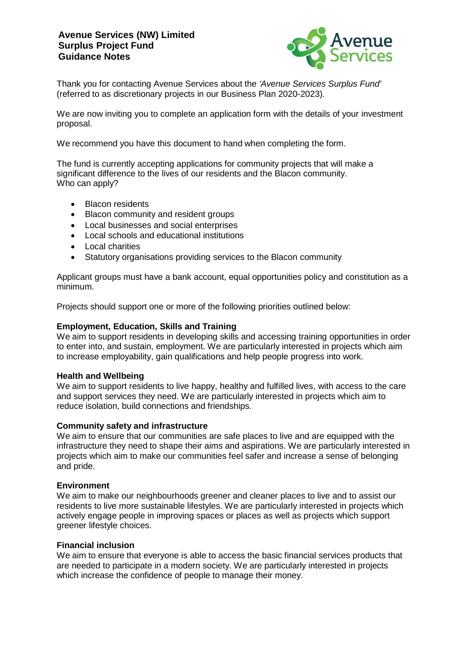# **Avenue Services (NW) Limited Surplus Project Fund Guidance Notes**



Thank you for contacting Avenue Services about the *'Avenue Services Surplus Fund'* (referred to as discretionary projects in our Business Plan 2020-2023).

We are now inviting you to complete an application form with the details of your investment proposal.

We recommend you have this document to hand when completing the form.

The fund is currently accepting applications for community projects that will make a significant difference to the lives of our residents and the Blacon community. Who can apply?

- Blacon residents
- Blacon community and resident groups
- Local businesses and social enterprises
- Local schools and educational institutions
- Local charities
- Statutory organisations providing services to the Blacon community

Applicant groups must have a bank account, equal opportunities policy and constitution as a minimum.

Projects should support one or more of the following priorities outlined below:

### **Employment, Education, Skills and Training**

We aim to support residents in developing skills and accessing training opportunities in order to enter into, and sustain, employment. We are particularly interested in projects which aim to increase employability, gain qualifications and help people progress into work.

### **Health and Wellbeing**

We aim to support residents to live happy, healthy and fulfilled lives, with access to the care and support services they need. We are particularly interested in projects which aim to reduce isolation, build connections and friendships.

### **Community safety and infrastructure**

We aim to ensure that our communities are safe places to live and are equipped with the infrastructure they need to shape their aims and aspirations. We are particularly interested in projects which aim to make our communities feel safer and increase a sense of belonging and pride.

### **Environment**

We aim to make our neighbourhoods greener and cleaner places to live and to assist our residents to live more sustainable lifestyles. We are particularly interested in projects which actively engage people in improving spaces or places as well as projects which support greener lifestyle choices.

### **Financial inclusion**

We aim to ensure that everyone is able to access the basic financial services products that are needed to participate in a modern society. We are particularly interested in projects which increase the confidence of people to manage their money.